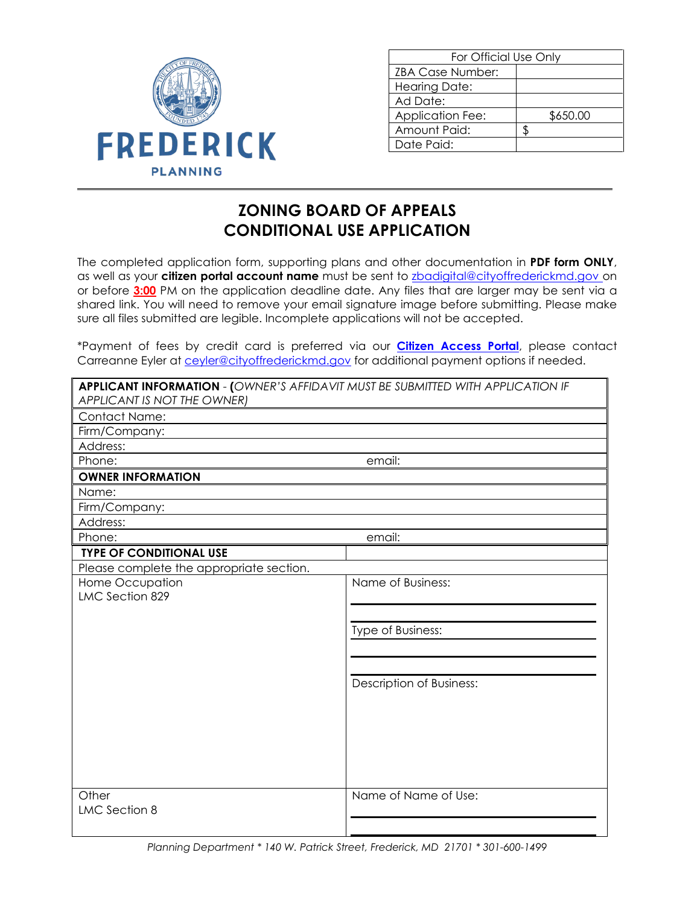

| For Official Use Only |          |  |
|-----------------------|----------|--|
| ZBA Case Number:      |          |  |
| <b>Hearing Date:</b>  |          |  |
| Ad Date:              |          |  |
| Application Fee:      | \$650.00 |  |
| Amount Paid:          |          |  |
| Date Paid:            |          |  |
|                       |          |  |

## **ZONING BOARD OF APPEALS CONDITIONAL USE APPLICATION**

The completed application form, supporting plans and other documentation in **PDF form ONLY**, as well as your **citizen portal account name** must be sent to [zbadigital@cityoffrederickmd.gov](mailto:zbddigital@cityoffrederickmd.gov) on or before **3:00** PM on the application deadline date. Any files that are larger may be sent via a shared link. You will need to remove your email signature image before submitting. Please make sure all files submitted are legible. Incomplete applications will not be accepted.

\*Payment of fees by credit card is preferred via our **[Citizen Access Portal](https://gcc02.safelinks.protection.outlook.com/?url=https%3A%2F%2Fcitizenaccess.cityoffrederick.com%2Fcitizenaccess%2F&data=02%7C01%7Cgcollard%40cityoffrederickmd.gov%7Cad3d08217e17487711b308d7d4cd9765%7Cc379f8550dee4b099f890cee3aa7f761%7C0%7C0%7C637211851779890394&sdata=fTC85eZgbuzzFKzq%2Fio%2FHxCILWPquIWiY8bsVzLfTtM%3D&reserved=0)**, please contact Carreanne Eyler at [ceyler@cityoffrederickmd.gov](mailto:ceyler@cityoffrederickmd.gov) for additional payment options if needed.

| <b>APPLICANT INFORMATION - (OWNER'S AFFIDAVIT MUST BE SUBMITTED WITH APPLICATION IF</b> |                          |  |
|-----------------------------------------------------------------------------------------|--------------------------|--|
| APPLICANT IS NOT THE OWNER)                                                             |                          |  |
| <b>Contact Name:</b>                                                                    |                          |  |
| Firm/Company:                                                                           |                          |  |
| Address:                                                                                |                          |  |
| Phone:<br>email:                                                                        |                          |  |
| <b>OWNER INFORMATION</b>                                                                |                          |  |
| Name:                                                                                   |                          |  |
| Firm/Company:                                                                           |                          |  |
| Address:                                                                                |                          |  |
| Phone:                                                                                  | email:                   |  |
| <b>TYPE OF CONDITIONAL USE</b>                                                          |                          |  |
| Please complete the appropriate section.                                                |                          |  |
| Home Occupation                                                                         | Name of Business:        |  |
| <b>LMC Section 829</b>                                                                  |                          |  |
|                                                                                         |                          |  |
|                                                                                         | Type of Business:        |  |
|                                                                                         |                          |  |
|                                                                                         |                          |  |
|                                                                                         |                          |  |
|                                                                                         | Description of Business: |  |
|                                                                                         |                          |  |
|                                                                                         |                          |  |
|                                                                                         |                          |  |
|                                                                                         |                          |  |
|                                                                                         |                          |  |
|                                                                                         |                          |  |
| Other                                                                                   | Name of Name of Use:     |  |
| LMC Section 8                                                                           |                          |  |
|                                                                                         |                          |  |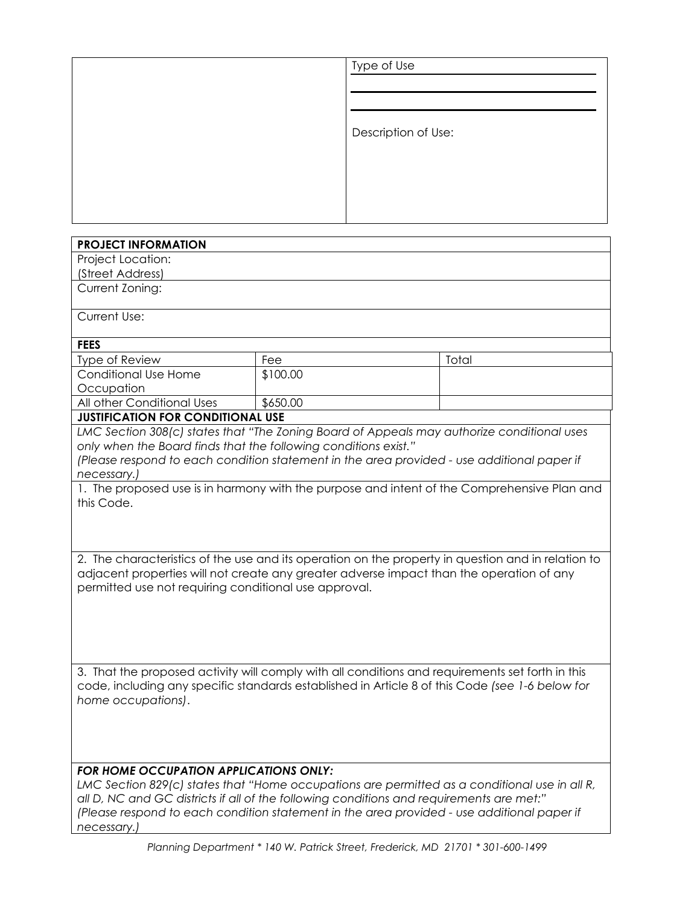| Type of Use         |
|---------------------|
|                     |
|                     |
| Description of Use: |
|                     |
|                     |
|                     |

| <b>PROJECT INFORMATION</b>                                                                         |                                                                                                  |       |  |  |
|----------------------------------------------------------------------------------------------------|--------------------------------------------------------------------------------------------------|-------|--|--|
| Project Location:                                                                                  |                                                                                                  |       |  |  |
| (Street Address)                                                                                   |                                                                                                  |       |  |  |
| Current Zoning:                                                                                    |                                                                                                  |       |  |  |
| Current Use:                                                                                       |                                                                                                  |       |  |  |
|                                                                                                    |                                                                                                  |       |  |  |
| <b>FEES</b>                                                                                        |                                                                                                  |       |  |  |
| Type of Review                                                                                     | Fee                                                                                              | Total |  |  |
| <b>Conditional Use Home</b>                                                                        | \$100.00                                                                                         |       |  |  |
| Occupation                                                                                         |                                                                                                  |       |  |  |
| All other Conditional Uses                                                                         | \$650.00                                                                                         |       |  |  |
| <b>JUSTIFICATION FOR CONDITIONAL USE</b>                                                           |                                                                                                  |       |  |  |
|                                                                                                    | LMC Section 308(c) states that "The Zoning Board of Appeals may authorize conditional uses       |       |  |  |
| only when the Board finds that the following conditions exist."                                    |                                                                                                  |       |  |  |
|                                                                                                    | (Please respond to each condition statement in the area provided - use additional paper if       |       |  |  |
| necessary.)                                                                                        |                                                                                                  |       |  |  |
|                                                                                                    | 1. The proposed use is in harmony with the purpose and intent of the Comprehensive Plan and      |       |  |  |
| this Code.                                                                                         |                                                                                                  |       |  |  |
|                                                                                                    |                                                                                                  |       |  |  |
|                                                                                                    |                                                                                                  |       |  |  |
|                                                                                                    |                                                                                                  |       |  |  |
| 2. The characteristics of the use and its operation on the property in question and in relation to |                                                                                                  |       |  |  |
| adjacent properties will not create any greater adverse impact than the operation of any           |                                                                                                  |       |  |  |
| permitted use not requiring conditional use approval.                                              |                                                                                                  |       |  |  |
|                                                                                                    |                                                                                                  |       |  |  |
|                                                                                                    |                                                                                                  |       |  |  |
|                                                                                                    |                                                                                                  |       |  |  |
|                                                                                                    |                                                                                                  |       |  |  |
|                                                                                                    |                                                                                                  |       |  |  |
|                                                                                                    | 3. That the proposed activity will comply with all conditions and requirements set forth in this |       |  |  |
|                                                                                                    | code, including any specific standards established in Article 8 of this Code (see 1-6 below for  |       |  |  |
| home occupations).                                                                                 |                                                                                                  |       |  |  |
|                                                                                                    |                                                                                                  |       |  |  |
|                                                                                                    |                                                                                                  |       |  |  |
|                                                                                                    |                                                                                                  |       |  |  |
|                                                                                                    |                                                                                                  |       |  |  |
| <b>FOR HOME OCCUPATION APPLICATIONS ONLY:</b>                                                      |                                                                                                  |       |  |  |
| LMC Section 829(c) states that "Home occupations are permitted as a conditional use in all R,      |                                                                                                  |       |  |  |
| all D, NC and GC districts if all of the following conditions and requirements are met:"           |                                                                                                  |       |  |  |
| (Please respond to each condition statement in the area provided - use additional paper if         |                                                                                                  |       |  |  |
| necessary.)                                                                                        |                                                                                                  |       |  |  |